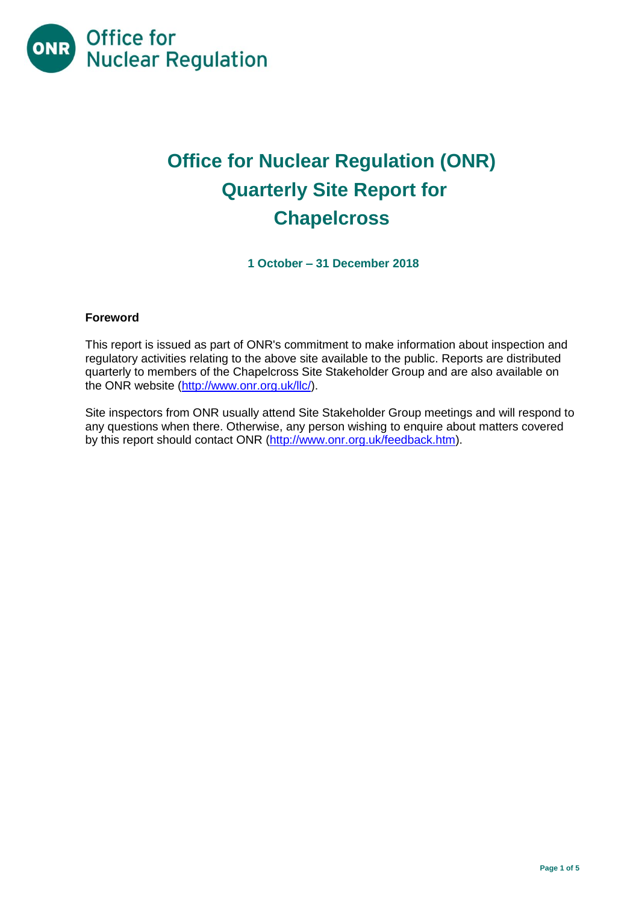

# **Office for Nuclear Regulation (ONR) Quarterly Site Report for Chapelcross**

**1 October – 31 December 2018**

## **Foreword**

This report is issued as part of ONR's commitment to make information about inspection and regulatory activities relating to the above site available to the public. Reports are distributed quarterly to members of the Chapelcross Site Stakeholder Group and are also available on the ONR website [\(http://www.onr.org.uk/llc/\)](http://www.onr.org.uk/llc/).

Site inspectors from ONR usually attend Site Stakeholder Group meetings and will respond to any questions when there. Otherwise, any person wishing to enquire about matters covered by this report should contact ONR [\(http://www.onr.org.uk/feedback.htm\)](http://www.onr.org.uk/feedback.htm).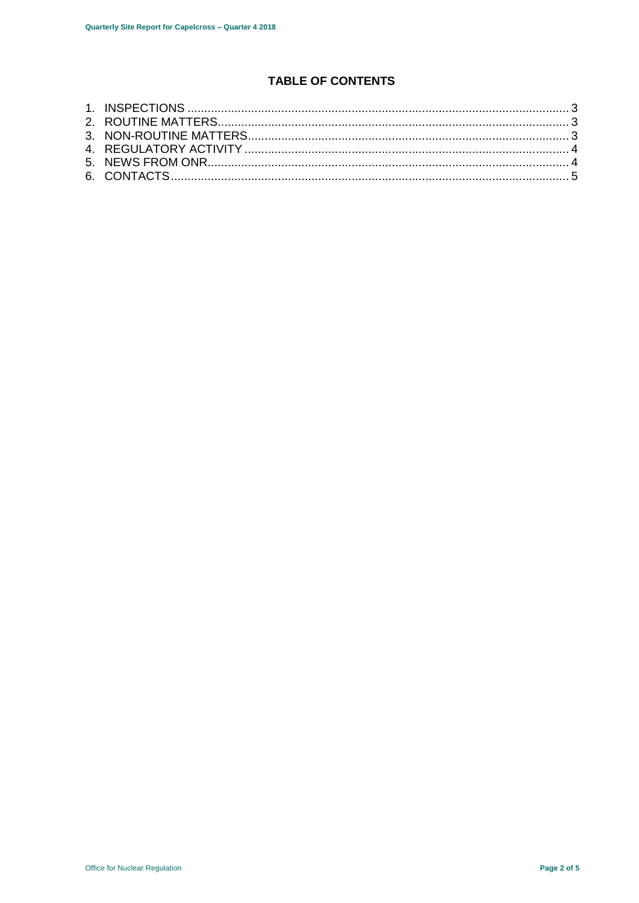# **TABLE OF CONTENTS**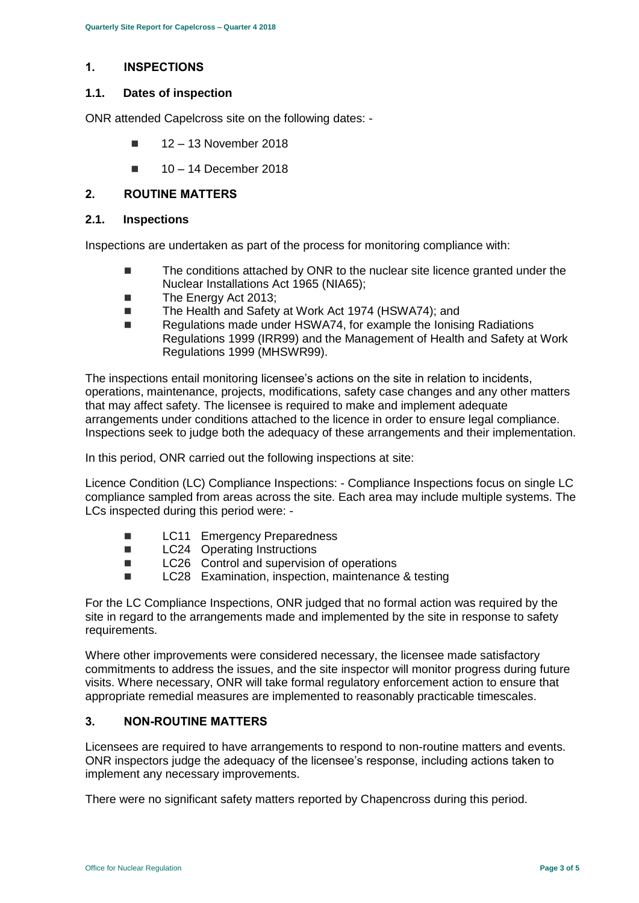## <span id="page-2-0"></span>**1. INSPECTIONS**

## **1.1. Dates of inspection**

ONR attended Capelcross site on the following dates: -

- $12 13$  November 2018
- $10 14$  December 2018

## <span id="page-2-1"></span>**2. ROUTINE MATTERS**

### **2.1. Inspections**

Inspections are undertaken as part of the process for monitoring compliance with:

- The conditions attached by ONR to the nuclear site licence granted under the Nuclear Installations Act 1965 (NIA65);
- The Energy Act 2013:
- The Health and Safety at Work Act 1974 (HSWA74); and
- Regulations made under HSWA74, for example the Ionising Radiations Regulations 1999 (IRR99) and the Management of Health and Safety at Work Regulations 1999 (MHSWR99).

The inspections entail monitoring licensee's actions on the site in relation to incidents, operations, maintenance, projects, modifications, safety case changes and any other matters that may affect safety. The licensee is required to make and implement adequate arrangements under conditions attached to the licence in order to ensure legal compliance. Inspections seek to judge both the adequacy of these arrangements and their implementation.

In this period, ONR carried out the following inspections at site:

Licence Condition (LC) Compliance Inspections: - Compliance Inspections focus on single LC compliance sampled from areas across the site. Each area may include multiple systems. The LCs inspected during this period were: -

- **LC11** Emergency Preparedness
- **LC24** Operating Instructions
- LC26 Control and supervision of operations
- LC28 Examination, inspection, maintenance & testing

For the LC Compliance Inspections, ONR judged that no formal action was required by the site in regard to the arrangements made and implemented by the site in response to safety requirements.

Where other improvements were considered necessary, the licensee made satisfactory commitments to address the issues, and the site inspector will monitor progress during future visits. Where necessary, ONR will take formal regulatory enforcement action to ensure that appropriate remedial measures are implemented to reasonably practicable timescales.

# <span id="page-2-2"></span>**3. NON-ROUTINE MATTERS**

Licensees are required to have arrangements to respond to non-routine matters and events. ONR inspectors judge the adequacy of the licensee's response, including actions taken to implement any necessary improvements.

There were no significant safety matters reported by Chapencross during this period.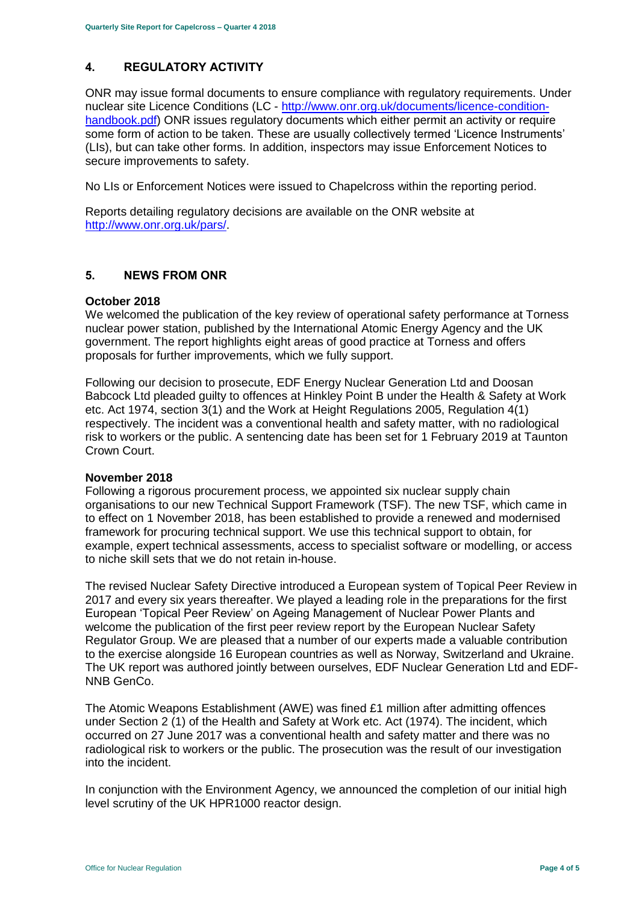# <span id="page-3-0"></span>**4. REGULATORY ACTIVITY**

ONR may issue formal documents to ensure compliance with regulatory requirements. Under nuclear site Licence Conditions (LC - [http://www.onr.org.uk/documents/licence-condition](http://www.onr.org.uk/documents/licence-condition-handbook.pdf)[handbook.pdf\)](http://www.onr.org.uk/documents/licence-condition-handbook.pdf) ONR issues regulatory documents which either permit an activity or require some form of action to be taken. These are usually collectively termed 'Licence Instruments' (LIs), but can take other forms. In addition, inspectors may issue Enforcement Notices to secure improvements to safety.

No LIs or Enforcement Notices were issued to Chapelcross within the reporting period.

Reports detailing regulatory decisions are available on the ONR website at [http://www.onr.org.uk/pars/.](http://www.onr.org.uk/pars/)

## <span id="page-3-1"></span>**5. NEWS FROM ONR**

#### **October 2018**

We welcomed the publication of the key review of operational safety performance at Torness nuclear power station, published by the International Atomic Energy Agency and the UK government. The report highlights eight areas of good practice at Torness and offers proposals for further improvements, which we fully support.

Following our decision to prosecute, EDF Energy Nuclear Generation Ltd and Doosan Babcock Ltd pleaded guilty to offences at Hinkley Point B under the Health & Safety at Work etc. Act 1974, section 3(1) and the Work at Height Regulations 2005, Regulation 4(1) respectively. The incident was a conventional health and safety matter, with no radiological risk to workers or the public. A sentencing date has been set for 1 February 2019 at Taunton Crown Court.

### **November 2018**

Following a rigorous procurement process, we appointed six nuclear supply chain organisations to our new Technical Support Framework (TSF). The new TSF, which came in to effect on 1 November 2018, has been established to provide a renewed and modernised framework for procuring technical support. We use this technical support to obtain, for example, expert technical assessments, access to specialist software or modelling, or access to niche skill sets that we do not retain in-house.

The revised Nuclear Safety Directive introduced a European system of Topical Peer Review in 2017 and every six years thereafter. We played a leading role in the preparations for the first European 'Topical Peer Review' on Ageing Management of Nuclear Power Plants and welcome the publication of the first peer review report by the European Nuclear Safety Regulator Group. We are pleased that a number of our experts made a valuable contribution to the exercise alongside 16 European countries as well as Norway, Switzerland and Ukraine. The UK report was authored jointly between ourselves, EDF Nuclear Generation Ltd and EDF-NNB GenCo.

The Atomic Weapons Establishment (AWE) was fined £1 million after admitting offences under Section 2 (1) of the Health and Safety at Work etc. Act (1974). The incident, which occurred on 27 June 2017 was a conventional health and safety matter and there was no radiological risk to workers or the public. The prosecution was the result of our investigation into the incident.

In conjunction with the Environment Agency, we announced the completion of our initial high level scrutiny of the UK HPR1000 reactor design.